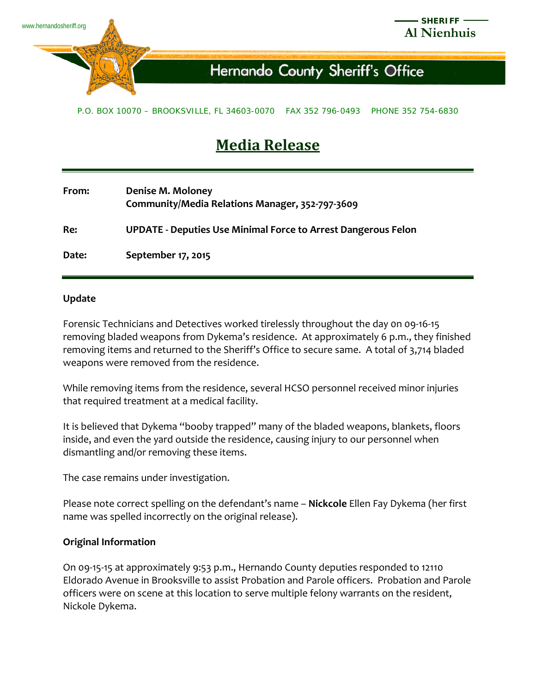

## P.O. BOX 10070 – BROOKSVILLE, FL 34603-0070 FAX 352 796-0493 PHONE 352 754-6830

## **Media Release**

| From: | Denise M. Moloney<br>Community/Media Relations Manager, 352-797-3609 |
|-------|----------------------------------------------------------------------|
| Re:   | <b>UPDATE - Deputies Use Minimal Force to Arrest Dangerous Felon</b> |
| Date: | September 17, 2015                                                   |

## **Update**

Forensic Technicians and Detectives worked tirelessly throughout the day 0n 09-16-15 removing bladed weapons from Dykema's residence. At approximately 6 p.m., they finished removing items and returned to the Sheriff's Office to secure same. A total of 3,714 bladed weapons were removed from the residence.

While removing items from the residence, several HCSO personnel received minor injuries that required treatment at a medical facility.

It is believed that Dykema "booby trapped" many of the bladed weapons, blankets, floors inside, and even the yard outside the residence, causing injury to our personnel when dismantling and/or removing these items.

The case remains under investigation.

Please note correct spelling on the defendant's name – **Nickcole** Ellen Fay Dykema (her first name was spelled incorrectly on the original release).

## **Original Information**

On 09-15-15 at approximately 9:53 p.m., Hernando County deputies responded to 12110 Eldorado Avenue in Brooksville to assist Probation and Parole officers. Probation and Parole officers were on scene at this location to serve multiple felony warrants on the resident, Nickole Dykema.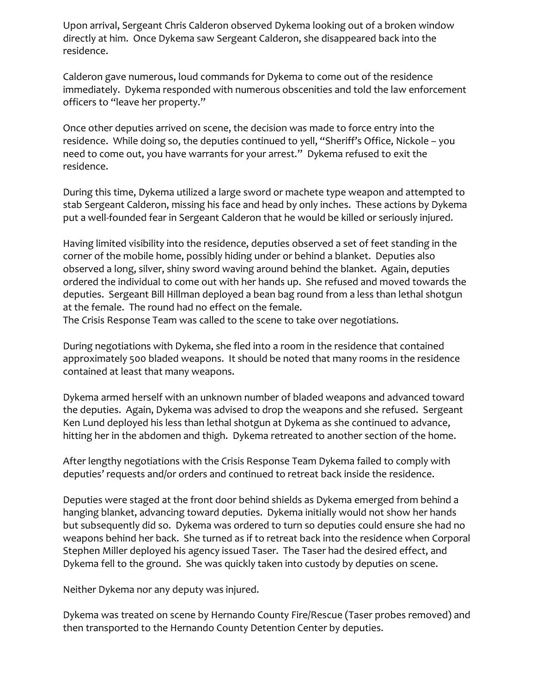Upon arrival, Sergeant Chris Calderon observed Dykema looking out of a broken window directly at him. Once Dykema saw Sergeant Calderon, she disappeared back into the residence.

Calderon gave numerous, loud commands for Dykema to come out of the residence immediately. Dykema responded with numerous obscenities and told the law enforcement officers to "leave her property."

Once other deputies arrived on scene, the decision was made to force entry into the residence. While doing so, the deputies continued to yell, "Sheriff's Office, Nickole – you need to come out, you have warrants for your arrest." Dykema refused to exit the residence.

During this time, Dykema utilized a large sword or machete type weapon and attempted to stab Sergeant Calderon, missing his face and head by only inches. These actions by Dykema put a well-founded fear in Sergeant Calderon that he would be killed or seriously injured.

Having limited visibility into the residence, deputies observed a set of feet standing in the corner of the mobile home, possibly hiding under or behind a blanket. Deputies also observed a long, silver, shiny sword waving around behind the blanket. Again, deputies ordered the individual to come out with her hands up. She refused and moved towards the deputies. Sergeant Bill Hillman deployed a bean bag round from a less than lethal shotgun at the female. The round had no effect on the female.

The Crisis Response Team was called to the scene to take over negotiations.

During negotiations with Dykema, she fled into a room in the residence that contained approximately 500 bladed weapons. It should be noted that many rooms in the residence contained at least that many weapons.

Dykema armed herself with an unknown number of bladed weapons and advanced toward the deputies. Again, Dykema was advised to drop the weapons and she refused. Sergeant Ken Lund deployed his less than lethal shotgun at Dykema as she continued to advance, hitting her in the abdomen and thigh. Dykema retreated to another section of the home.

After lengthy negotiations with the Crisis Response Team Dykema failed to comply with deputies' requests and/or orders and continued to retreat back inside the residence.

Deputies were staged at the front door behind shields as Dykema emerged from behind a hanging blanket, advancing toward deputies. Dykema initially would not show her hands but subsequently did so. Dykema was ordered to turn so deputies could ensure she had no weapons behind her back. She turned as if to retreat back into the residence when Corporal Stephen Miller deployed his agency issued Taser. The Taser had the desired effect, and Dykema fell to the ground. She was quickly taken into custody by deputies on scene.

Neither Dykema nor any deputy was injured.

Dykema was treated on scene by Hernando County Fire/Rescue (Taser probes removed) and then transported to the Hernando County Detention Center by deputies.